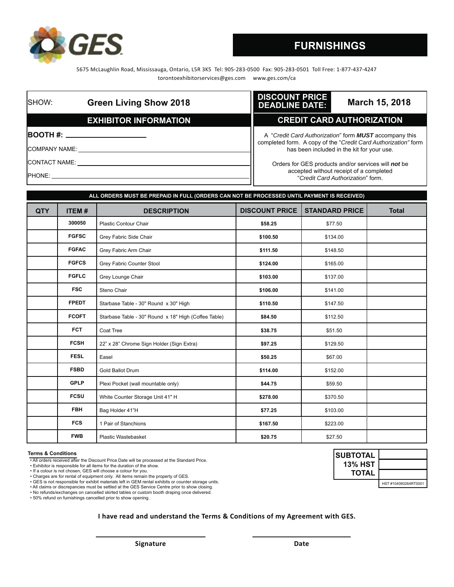

# **FURNISHINGS**

5675 McLaughlin Road, Mississauga, Ontario, L5R 3K5 Tel: 905-283-0500 Fax: 905-283-0501 Toll Free: 1-877-437-4247 torontoexhibitorservices@ges.com www.ges.com/ca

| SHOW:                 | <b>Green Living Show 2018</b> | <b>DISCOUNT PRICE</b><br>March 15, 2018<br><b>DEADLINE DATE:</b>                                                                |
|-----------------------|-------------------------------|---------------------------------------------------------------------------------------------------------------------------------|
|                       | <b>EXHIBITOR INFORMATION</b>  | <b>CREDIT CARD AUTHORIZATION</b>                                                                                                |
|                       |                               | A "Credit Card Authorization" form <b>MUST</b> accompany this<br>completed form. A copy of the "Credit Card Authorization" form |
| <b>COMPANY NAME:</b>  |                               | has been included in the kit for your use.                                                                                      |
| <b>ICONTACT NAME:</b> |                               | Orders for GES products and/or services will not be                                                                             |
| <b>PHONE:</b>         |                               | accepted without receipt of a completed<br>"Credit Card Authorization" form                                                     |

| ALL ORDERS MUST BE PREPAID IN FULL (ORDERS CAN NOT BE PROCESSED UNTIL PAYMENT IS RECEIVED) |              |                                                      |                       |                       |              |
|--------------------------------------------------------------------------------------------|--------------|------------------------------------------------------|-----------------------|-----------------------|--------------|
| <b>QTY</b>                                                                                 | <b>ITEM#</b> | <b>DESCRIPTION</b>                                   | <b>DISCOUNT PRICE</b> | <b>STANDARD PRICE</b> | <b>Total</b> |
|                                                                                            | 300050       | <b>Plastic Contour Chair</b>                         | \$58.25               | \$77.50               |              |
|                                                                                            | <b>FGFSC</b> | Grey Fabric Side Chair                               | \$100.50              | \$134.00              |              |
|                                                                                            | <b>FGFAC</b> | Grey Fabric Arm Chair                                | \$111.50              | \$148.50              |              |
|                                                                                            | <b>FGFCS</b> | Grey Fabric Counter Stool                            | \$124.00              | \$165.00              |              |
|                                                                                            | <b>FGFLC</b> | Grey Lounge Chair                                    | \$103.00              | \$137.00              |              |
|                                                                                            | <b>FSC</b>   | Steno Chair                                          | \$106.00              | \$141.00              |              |
|                                                                                            | <b>FPEDT</b> | Starbase Table - 30" Round x 30" High                | \$110.50              | \$147.50              |              |
|                                                                                            | <b>FCOFT</b> | Starbase Table - 30" Round x 18" High (Coffee Table) | \$84.50               | \$112.50              |              |
|                                                                                            | <b>FCT</b>   | Coat Tree                                            | \$38.75               | \$51.50               |              |
|                                                                                            | <b>FCSH</b>  | 22" x 28" Chrome Sign Holder (Sign Extra)            | \$97.25               | \$129.50              |              |
|                                                                                            | <b>FESL</b>  | Easel                                                | \$50.25               | \$67.00               |              |
|                                                                                            | <b>FSBD</b>  | Gold Ballot Drum                                     | \$114.00              | \$152.00              |              |
|                                                                                            | <b>GPLP</b>  | Plexi Pocket (wall mountable only)                   | \$44.75               | \$59.50               |              |
|                                                                                            | <b>FCSU</b>  | White Counter Storage Unit 41" H                     | \$278.00              | \$370.50              |              |
|                                                                                            | <b>FBH</b>   | Bag Holder 41"H                                      | \$77.25               | \$103.00              |              |
|                                                                                            | <b>FCS</b>   | 1 Pair of Stanchions                                 | \$167.50              | \$223.00              |              |
|                                                                                            | <b>FWB</b>   | Plastic Wastebasket                                  | \$20.75               | \$27.50               |              |

#### **Terms & Conditions**

- All orders received after the Discount Price Date will be processed at the Standard Price.
- Exhibitor is responsible for all items for the duration of the show.
- If a colour is not chosen, GES will choose a colour for you.

• Charges are for rental of equipment only. All items remain the property of GES. • GES is not responsible for exhibit materials left in GEM rental exhibits or counter storage units.

• All claims or discrepancies must be settled at the GES Service Centre prior to show closing.

• No refunds/exchanges on cancelled skirted tables or custom booth draping once delivered. • 50% refund on furnishings cancelled prior to show opening.

**I have read and understand the Terms & Conditions of my Agreement with GES.**

**SUBTOTAL 13% HST TOTAL**  HST #104060264RT0001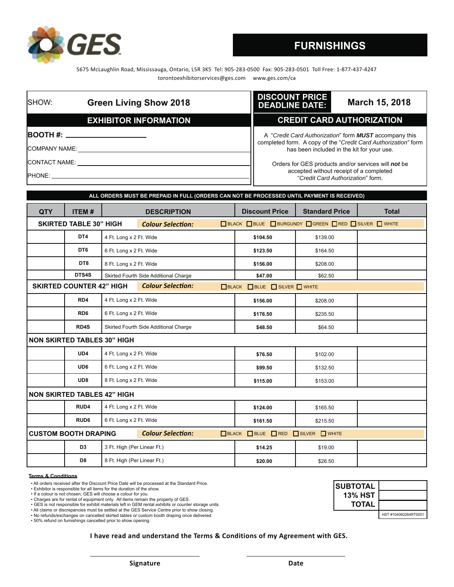5675 McLaughlin Road, Mississauga, Ontario, L5R 3K5 Tel: 905-283-0500 Fax: 905-283-0501 Toll Free: 1-877-437-4247 torontoexhibitorservices@ges.com www.ges.com/ca

| SHOW:                | <b>Green Living Show 2018</b> | <b>DISCOUNT PRICE</b><br>March 15, 2018<br><b>DEADLINE DATE:</b>             |                                                                                                                                                                               |  |  |
|----------------------|-------------------------------|------------------------------------------------------------------------------|-------------------------------------------------------------------------------------------------------------------------------------------------------------------------------|--|--|
|                      | <b>EXHIBITOR INFORMATION</b>  | <b>CREDIT CARD AUTHORIZATION</b>                                             |                                                                                                                                                                               |  |  |
|                      |                               |                                                                              | A "Credit Card Authorization" form <b>MUST</b> accompany this<br>completed form. A copy of the "Credit Card Authorization" form<br>has been included in the kit for your use. |  |  |
| <b>COMPANY NAME:</b> |                               |                                                                              |                                                                                                                                                                               |  |  |
| <b>CONTACT NAME:</b> |                               | Orders for GES products and/or services will not be                          |                                                                                                                                                                               |  |  |
| <b>PHONE:</b>        |                               | accepted without receipt of a completed<br>"Credit Card Authorization" form. |                                                                                                                                                                               |  |  |

| ALL ORDERS MUST BE PREPAID IN FULL (ORDERS CAN NOT BE PROCESSED UNTIL PAYMENT IS RECEIVED) |                                 |                                       |                                       |                          |                                                          |              |
|--------------------------------------------------------------------------------------------|---------------------------------|---------------------------------------|---------------------------------------|--------------------------|----------------------------------------------------------|--------------|
| <b>QTY</b>                                                                                 | <b>ITEM#</b>                    |                                       | <b>DESCRIPTION</b>                    | <b>Discount Price</b>    | <b>Standard Price</b>                                    | <b>Total</b> |
|                                                                                            | <b>SKIRTED TABLE 30" HIGH</b>   |                                       | <b>Colour Selection:</b>              |                          | □ BLACK □ BLUE □ BURGUNDY □ GREEN □ RED □ SILVER □ WHITE |              |
|                                                                                            | DT4                             | 4 Ft. Long x 2 Ft. Wide               |                                       | \$104.50                 | \$139.00                                                 |              |
|                                                                                            | DT <sub>6</sub>                 | 6 Ft. Long x 2 Ft. Wide               |                                       | \$123.50                 | \$164.50                                                 |              |
|                                                                                            | DT8                             | 8 Ft. Long x 2 Ft. Wide               |                                       | \$156.00                 | \$208.00                                                 |              |
|                                                                                            | DTS4S                           |                                       | Skirted Fourth Side Additional Charge | \$47.00                  | \$62.50                                                  |              |
|                                                                                            | <b>SKIRTED COUNTER 42" HIGH</b> |                                       | <b>Colour Selection:</b>              | BLACK BLUE SILVER TWHITE |                                                          |              |
|                                                                                            | RD4                             | 4 Ft. Long x 2 Ft. Wide               |                                       | \$156.00                 | \$208.00                                                 |              |
|                                                                                            | RD <sub>6</sub>                 | 6 Ft. Long x 2 Ft. Wide               |                                       | \$176.50                 | \$235.50                                                 |              |
|                                                                                            | RD4S                            | Skirted Fourth Side Additional Charge |                                       | \$48.50                  | \$64.50                                                  |              |
| <b>NON SKIRTED TABLES 30" HIGH</b>                                                         |                                 |                                       |                                       |                          |                                                          |              |
|                                                                                            | UD4                             | 4 Ft. Long x 2 Ft. Wide               |                                       | \$76.50                  | \$102.00                                                 |              |
|                                                                                            | UD <sub>6</sub>                 | 6 Ft. Long x 2 Ft. Wide               |                                       | \$99.50                  | \$132.50                                                 |              |
|                                                                                            | UD <sub>8</sub>                 | 8 Ft. Long x 2 Ft. Wide               |                                       | \$115.00                 | \$153.00                                                 |              |
| <b>NON SKIRTED TABLES 42" HIGH</b>                                                         |                                 |                                       |                                       |                          |                                                          |              |
|                                                                                            | RUD4                            | 4 Ft. Long x 2 Ft. Wide               |                                       | \$124.00                 | \$165.50                                                 |              |
|                                                                                            | RUD <sub>6</sub>                | 6 Ft. Long x 2 Ft. Wide               |                                       | \$161.50                 | \$215.50                                                 |              |
| <b>Colour Selection:</b><br><b>CUSTOM BOOTH DRAPING</b>                                    |                                 |                                       | $BLACK$ BLUE $BRED$                   | SILVER WHITE             |                                                          |              |
|                                                                                            | D <sub>3</sub>                  | 3 Ft. High (Per Linear Ft.)           |                                       | \$14.25                  | \$19.00                                                  |              |
|                                                                                            | D <sub>8</sub>                  | 8 Ft. High (Per Linear Ft.)           |                                       | \$20.00                  | \$26.50                                                  |              |

## **Terms & Conditions**

• All orders received after the Discount Price Date will be processed at the Standard Price.

• Exhibitor is responsible for all items for the duration of the show.

• If a colour is not chosen, GES will choose a colour for you. • Charges are for rental of equipment only. All items remain the property of GES.

• GES is not responsible for exhibit materials left in GEM rental exhibits or counter storage units.

• All claims or discrepancies must be settled at the GES Service Centre prior to show closing.

• No refunds/exchanges on cancelled skirted tables or custom booth draping once delivered. • 50% refund on furnishings cancelled prior to show opening.

**I have read and understand the Terms & Conditions of my Agreement with GES.**

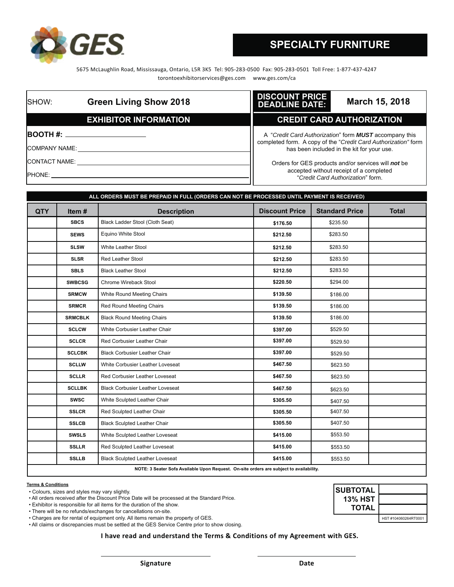

5675 McLaughlin Road, Mississauga, Ontario, L5R 3K5 Tel: 905-283-0500 Fax: 905-283-0501 Toll Free: 1-877-437-4247 torontoexhibitorservices@ges.com www.ges.com/ca

| <b>ISHOW:</b>         | <b>Green Living Show 2018</b>                                                                                                                                                                                                      | <b>DISCOUNT PRICE</b><br>March 15, 2018<br><b>DEADLINE DATE:</b>                                                                |
|-----------------------|------------------------------------------------------------------------------------------------------------------------------------------------------------------------------------------------------------------------------------|---------------------------------------------------------------------------------------------------------------------------------|
|                       | <b>EXHIBITOR INFORMATION</b>                                                                                                                                                                                                       | <b>CREDIT CARD AUTHORIZATION</b>                                                                                                |
|                       | <b>BOOTH #:</b> _____________________                                                                                                                                                                                              | A "Credit Card Authorization" form <b>MUST</b> accompany this<br>completed form. A copy of the "Credit Card Authorization" form |
| ICOMPANY NAME:        |                                                                                                                                                                                                                                    | has been included in the kit for your use.                                                                                      |
| <b>ICONTACT NAME:</b> |                                                                                                                                                                                                                                    | Orders for GES products and/or services will not be                                                                             |
|                       | <b>IPHONE:</b> The contract of the contract of the contract of the contract of the contract of the contract of the contract of the contract of the contract of the contract of the contract of the contract of the contract of the | accepted without receipt of a completed<br>"Credit Card Authorization" form.                                                    |

| ALL ORDERS MUST BE PREPAID IN FULL (ORDERS CAN NOT BE PROCESSED UNTIL PAYMENT IS RECEIVED) |                |                                         |                       |                       |              |
|--------------------------------------------------------------------------------------------|----------------|-----------------------------------------|-----------------------|-----------------------|--------------|
| <b>QTY</b>                                                                                 | Item $#$       | <b>Description</b>                      | <b>Discount Price</b> | <b>Standard Price</b> | <b>Total</b> |
|                                                                                            | <b>SBCS</b>    | Black Ladder Stool (Cloth Seat)         | \$176.50              | \$235.50              |              |
|                                                                                            | <b>SEWS</b>    | Equino White Stool                      | \$212.50              | \$283.50              |              |
|                                                                                            | <b>SLSW</b>    | White Leather Stool                     | \$212.50              | \$283.50              |              |
|                                                                                            | <b>SLSR</b>    | <b>Red Leather Stool</b>                | \$212.50              | \$283.50              |              |
|                                                                                            | <b>SBLS</b>    | <b>Black Leather Stool</b>              | \$212.50              | \$283.50              |              |
|                                                                                            | <b>SWBCSG</b>  | Chrome Wireback Stool                   | \$220.50              | \$294.00              |              |
|                                                                                            | <b>SRMCW</b>   | White Round Meeting Chairs              | \$139.50              | \$186.00              |              |
|                                                                                            | <b>SRMCR</b>   | Red Round Meeting Chairs                | \$139.50              | \$186.00              |              |
|                                                                                            | <b>SRMCBLK</b> | <b>Black Round Meeting Chairs</b>       | \$139.50              | \$186.00              |              |
|                                                                                            | <b>SCLCW</b>   | White Corbusier Leather Chair           | \$397.00              | \$529.50              |              |
|                                                                                            | <b>SCLCR</b>   | Red Corbusier Leather Chair             | \$397.00              | \$529.50              |              |
|                                                                                            | <b>SCLCBK</b>  | <b>Black Corbusier Leather Chair</b>    | \$397.00              | \$529.50              |              |
|                                                                                            | <b>SCLLW</b>   | White Corbusier Leather Loveseat        | \$467.50              | \$623.50              |              |
|                                                                                            | <b>SCLLR</b>   | <b>Red Corbusier Leather Loveseat</b>   | \$467.50              | \$623.50              |              |
|                                                                                            | <b>SCLLBK</b>  | <b>Black Corbusier Leather Loveseat</b> | \$467.50              | \$623.50              |              |
|                                                                                            | <b>SWSC</b>    | White Sculpted Leather Chair            | \$305.50              | \$407.50              |              |
|                                                                                            | <b>SSLCR</b>   | Red Sculpted Leather Chair              | \$305.50              | \$407.50              |              |
|                                                                                            | <b>SSLCB</b>   | <b>Black Sculpted Leather Chair</b>     | \$305.50              | \$407.50              |              |
|                                                                                            | <b>SWSLS</b>   | White Sculpted Leather Loveseat         | \$415.00              | \$553.50              |              |
|                                                                                            | <b>SSLLR</b>   | Red Sculpted Leather Loveseat           | \$415.00              | \$553.50              |              |
|                                                                                            | <b>SSLLB</b>   | <b>Black Sculpted Leather Loveseat</b>  | \$415.00              | \$553.50              |              |
| NOTE: 3 Seater Sofa Available Upon Request. On-site orders are subject to availability.    |                |                                         |                       |                       |              |

### **Terms & Conditions**

• Colours, sizes and styles may vary slightly.

• All orders received after the Discount Price Date will be processed at the Standard Price.

• Exhibitor is responsible for all items for the duration of the show.

• There will be no refunds/exchanges for cancellations on-site.

• Charges are for rental of equipment only. All items remain the property of GES.

• All claims or discrepancies must be settled at the GES Service Centre prior to show closing.

**I have read and understand the Terms & Conditions of my Agreement with GES.**